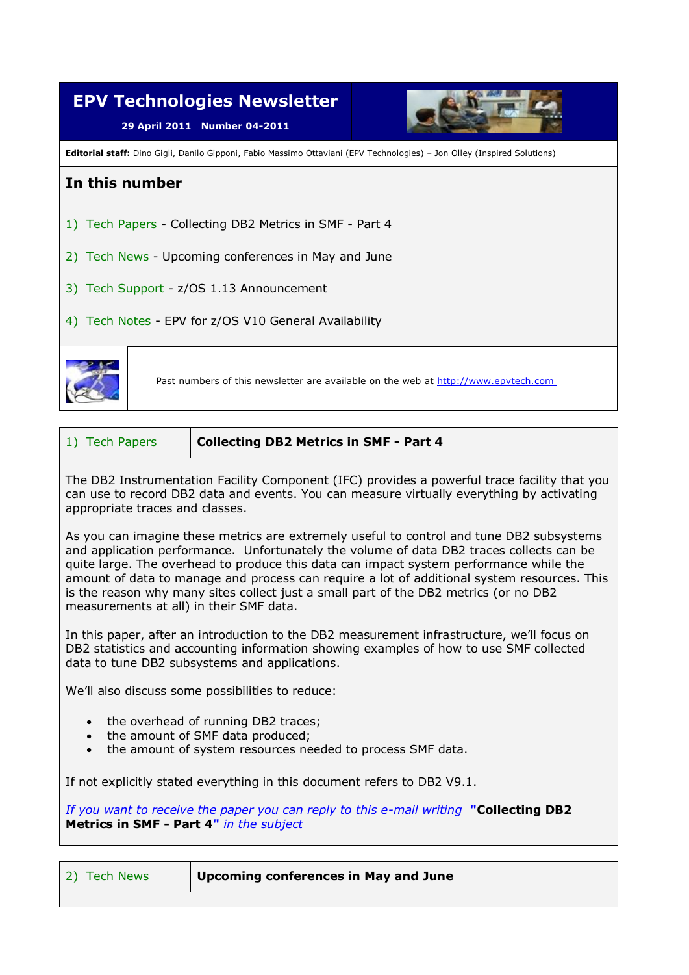

| 1) Tech Papers | <b>Collecting DB2 Metrics in SMF - Part 4</b> |
|----------------|-----------------------------------------------|
|----------------|-----------------------------------------------|

The DB2 Instrumentation Facility Component (IFC) provides a powerful trace facility that you can use to record DB2 data and events. You can measure virtually everything by activating appropriate traces and classes.

As you can imagine these metrics are extremely useful to control and tune DB2 subsystems and application performance. Unfortunately the volume of data DB2 traces collects can be quite large. The overhead to produce this data can impact system performance while the amount of data to manage and process can require a lot of additional system resources. This is the reason why many sites collect just a small part of the DB2 metrics (or no DB2 measurements at all) in their SMF data.

In this paper, after an introduction to the DB2 measurement infrastructure, we'll focus on DB2 statistics and accounting information showing examples of how to use SMF collected data to tune DB2 subsystems and applications.

We'll also discuss some possibilities to reduce:

- the overhead of running DB2 traces;
- the amount of SMF data produced;
- the amount of system resources needed to process SMF data.

If not explicitly stated everything in this document refers to DB2 V9.1.

*If you want to receive the paper you can reply to this e-mail writing* **"Collecting DB2 Metrics in SMF - Part 4"** *in the subject*

| 2) Tech News<br>Upcoming conferences in May and June |
|------------------------------------------------------|
|------------------------------------------------------|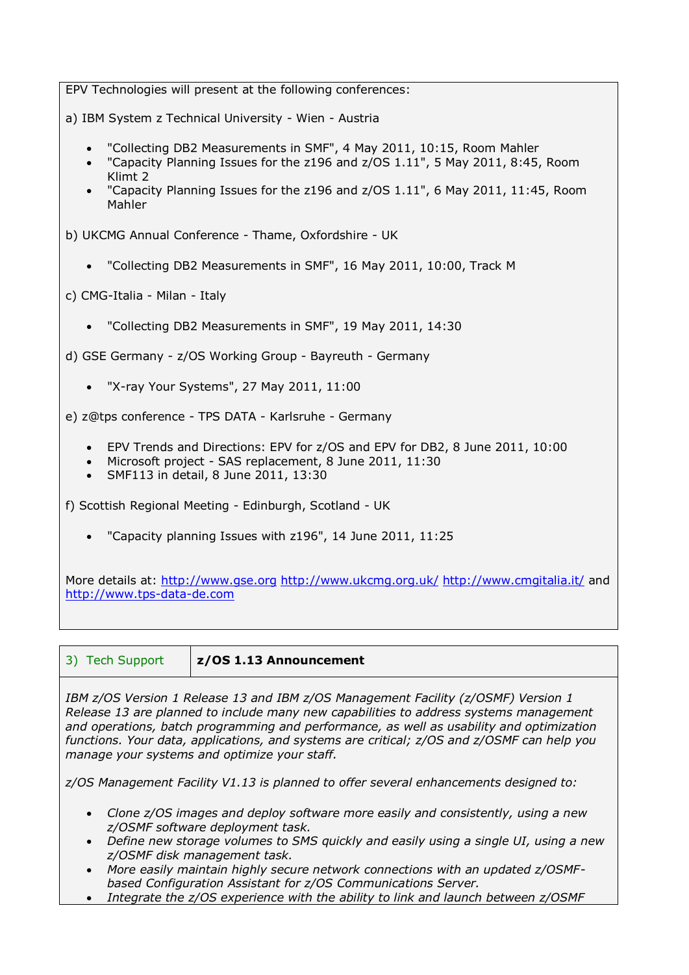EPV Technologies will present at the following conferences: a) IBM System z Technical University - Wien - Austria "Collecting DB2 Measurements in SMF", 4 May 2011, 10:15, Room Mahler "Capacity Planning Issues for the z196 and z/OS 1.11", 5 May 2011, 8:45, Room Klimt 2 "Capacity Planning Issues for the z196 and z/OS 1.11", 6 May 2011, 11:45, Room Mahler b) UKCMG Annual Conference - Thame, Oxfordshire - UK "Collecting DB2 Measurements in SMF", 16 May 2011, 10:00, Track M c) CMG-Italia - Milan - Italy "Collecting DB2 Measurements in SMF", 19 May 2011, 14:30 d) GSE Germany - z/OS Working Group - Bayreuth - Germany "X-ray Your Systems", 27 May 2011, 11:00 e) z@tps conference - TPS DATA - Karlsruhe - Germany EPV Trends and Directions: EPV for z/OS and EPV for DB2, 8 June 2011, 10:00 Microsoft project - SAS replacement, 8 June 2011, 11:30 SMF113 in detail, 8 June 2011, 13:30 f) Scottish Regional Meeting - Edinburgh, Scotland - UK "Capacity planning Issues with z196", 14 June 2011, 11:25

More details at: [http://www.gse.org](http://www.gse.org/) <http://www.ukcmg.org.uk/> <http://www.cmgitalia.it/> and [http://www.tps-data-de.com](http://www.tps-data-de.com/)

| 3) Tech Support |  |  |
|-----------------|--|--|
|                 |  |  |
|                 |  |  |

 $z$ /OS 1.13 Announcement

*IBM z/OS Version 1 Release 13 and IBM z/OS Management Facility (z/OSMF) Version 1 Release 13 are planned to include many new capabilities to address systems management and operations, batch programming and performance, as well as usability and optimization functions. Your data, applications, and systems are critical; z/OS and z/OSMF can help you manage your systems and optimize your staff.*

*z/OS Management Facility V1.13 is planned to offer several enhancements designed to:* 

- *Clone z/OS images and deploy software more easily and consistently, using a new z/OSMF software deployment task.*
- *Define new storage volumes to SMS quickly and easily using a single UI, using a new z/OSMF disk management task.*
- *More easily maintain highly secure network connections with an updated z/OSMFbased Configuration Assistant for z/OS Communications Server.*
- *Integrate the z/OS experience with the ability to link and launch between z/OSMF*